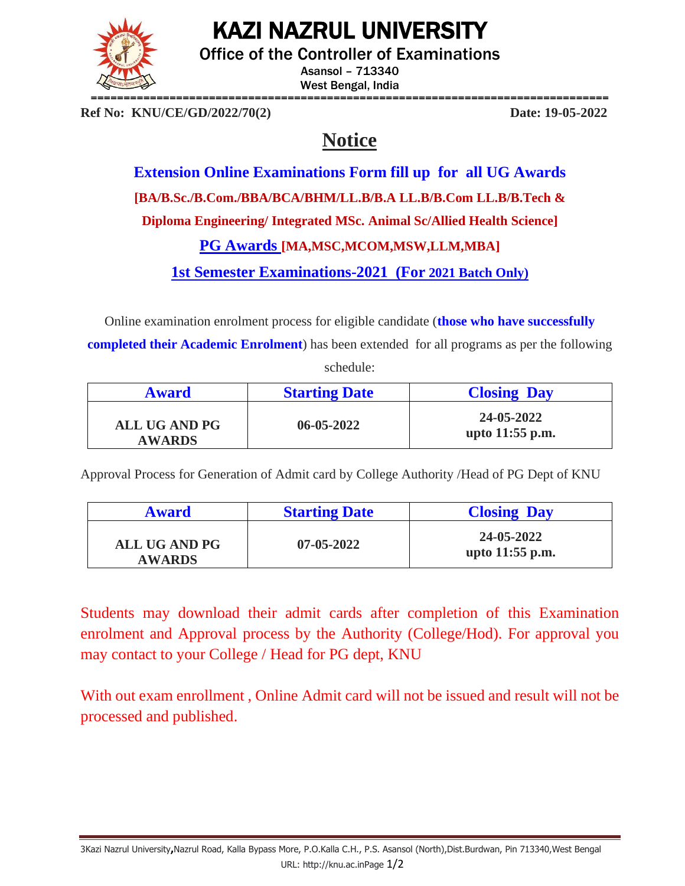

## KAZI NAZRUL UNIVERSITY

Office of the Controller of Examinations

Asansol – 713340 West Bengal, India

**Ref No: KNU/CE/GD/2022/70(2) Date: 19-05-2022**

## **Notice**

**Extension Online Examinations Form fill up for all UG Awards [BA/B.Sc./B.Com./BBA/BCA/BHM/LL.B/B.A LL.B/B.Com LL.B/B.Tech & Diploma Engineering/ Integrated MSc. Animal Sc/Allied Health Science] PG Awards [MA,MSC,MCOM,MSW,LLM,MBA]**

**1st Semester Examinations-2021 (For 2021 Batch Only)**

Online examination enrolment process for eligible candidate (**those who have successfully** 

**completed their Academic Enrolment**) has been extended for all programs as per the following schedule:

| <b>Award</b>                          | <b>Starting Date</b> | <b>Closing Day</b>              |
|---------------------------------------|----------------------|---------------------------------|
| <b>ALL UG AND PG</b><br><b>AWARDS</b> | $06 - 05 - 2022$     | 24-05-2022<br>upto $11:55$ p.m. |

Approval Process for Generation of Admit card by College Authority /Head of PG Dept of KNU

| <b>Award</b>                          | <b>Starting Date</b> | <b>Closing Day</b>              |
|---------------------------------------|----------------------|---------------------------------|
| <b>ALL UG AND PG</b><br><b>AWARDS</b> | $07 - 05 - 2022$     | 24-05-2022<br>upto $11:55$ p.m. |

Students may download their admit cards after completion of this Examination enrolment and Approval process by the Authority (College/Hod). For approval you may contact to your College / Head for PG dept, KNU

With out exam enrollment , Online Admit card will not be issued and result will not be processed and published.